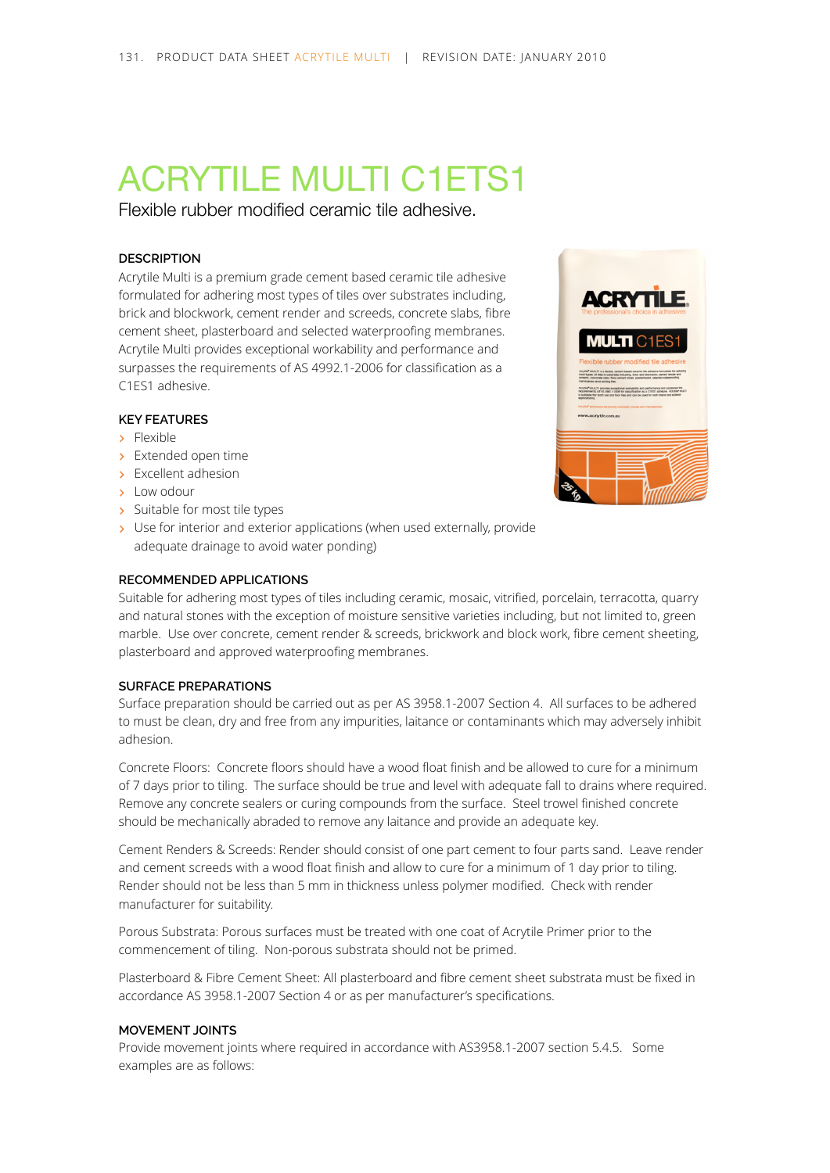# ACRYTILE MULTI C1ETS1

Flexible rubber modified ceramic tile adhesive.

## **DESCRIPTION**

Acrytile Multi is a premium grade cement based ceramic tile adhesive formulated for adhering most types of tiles over substrates including, brick and blockwork, cement render and screeds, concrete slabs, fibre cement sheet, plasterboard and selected waterproofing membranes. Acrytile Multi provides exceptional workability and performance and surpasses the requirements of AS 4992.1-2006 for classification as a C1ES1 adhesive.

## **KEY FEATURES**

- > Flexible
- > Extended open time
- > Excellent adhesion
- > Low odour
- > Suitable for most tile types
- > Use for interior and exterior applications (when used externally, provide adequate drainage to avoid water ponding)

#### **RECOMMENDED APPLICATIONS**

Suitable for adhering most types of tiles including ceramic, mosaic, vitrified, porcelain, terracotta, quarry and natural stones with the exception of moisture sensitive varieties including, but not limited to, green marble. Use over concrete, cement render & screeds, brickwork and block work, fibre cement sheeting, plasterboard and approved waterproofing membranes.

### **SURFACE PREPARATIONS**

Surface preparation should be carried out as per AS 3958.1-2007 Section 4. All surfaces to be adhered to must be clean, dry and free from any impurities, laitance or contaminants which may adversely inhibit adhesion.

Concrete Floors: Concrete floors should have a wood float finish and be allowed to cure for a minimum of 7 days prior to tiling. The surface should be true and level with adequate fall to drains where required. Remove any concrete sealers or curing compounds from the surface. Steel trowel finished concrete should be mechanically abraded to remove any laitance and provide an adequate key.

Cement Renders & Screeds: Render should consist of one part cement to four parts sand. Leave render and cement screeds with a wood float finish and allow to cure for a minimum of 1 day prior to tiling. Render should not be less than 5 mm in thickness unless polymer modified. Check with render manufacturer for suitability.

Porous Substrata: Porous surfaces must be treated with one coat of Acrytile Primer prior to the commencement of tiling. Non-porous substrata should not be primed.

Plasterboard & Fibre Cement Sheet: All plasterboard and fibre cement sheet substrata must be fixed in accordance AS 3958.1-2007 Section 4 or as per manufacturer's specifications.

## **MOVEMENT JOINTS**

Provide movement joints where required in accordance with AS3958.1-2007 section 5.4.5. Some examples are as follows:

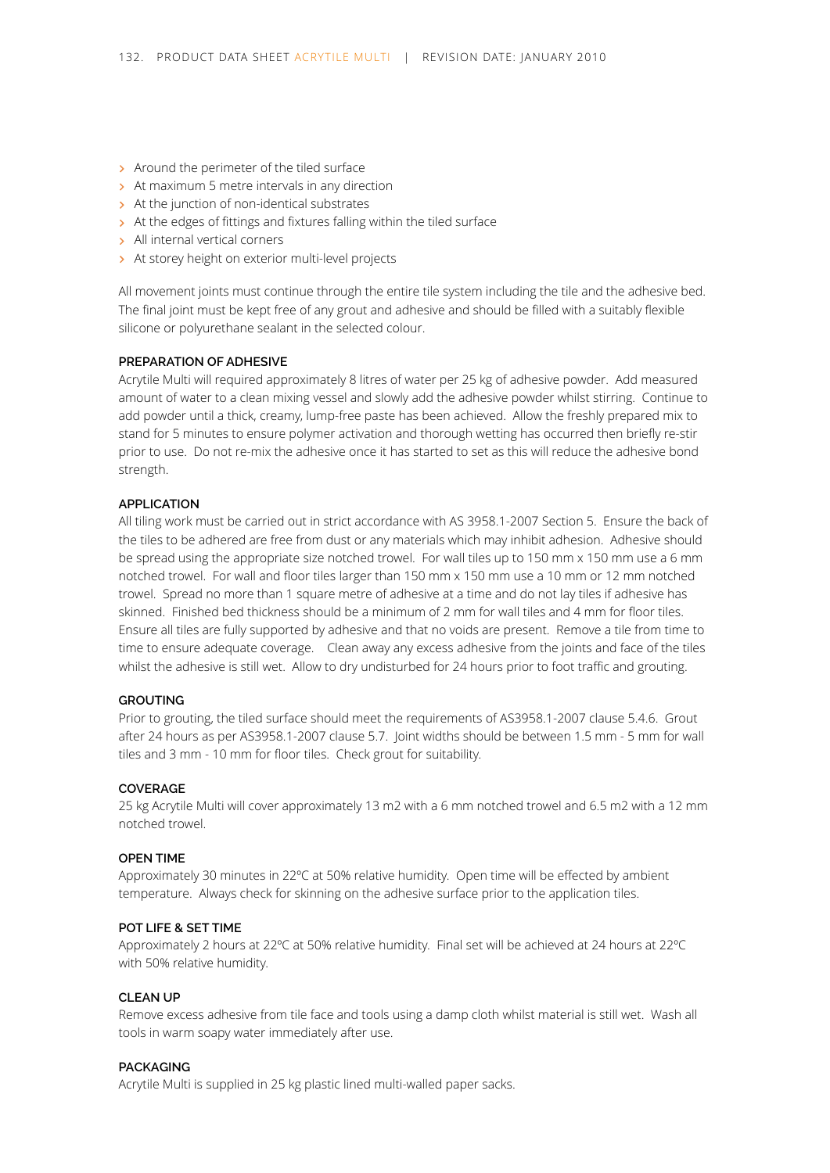- > Around the perimeter of the tiled surface
- > At maximum 5 metre intervals in any direction
- > At the junction of non-identical substrates
- > At the edges of fittings and fixtures falling within the tiled surface
- > All internal vertical corners
- > At storey height on exterior multi-level projects

All movement joints must continue through the entire tile system including the tile and the adhesive bed. The final joint must be kept free of any grout and adhesive and should be filled with a suitably flexible silicone or polyurethane sealant in the selected colour.

#### **PREPARATION OF ADHESIVE**

Acrytile Multi will required approximately 8 litres of water per 25 kg of adhesive powder. Add measured amount of water to a clean mixing vessel and slowly add the adhesive powder whilst stirring. Continue to add powder until a thick, creamy, lump-free paste has been achieved. Allow the freshly prepared mix to stand for 5 minutes to ensure polymer activation and thorough wetting has occurred then briefly re-stir prior to use. Do not re-mix the adhesive once it has started to set as this will reduce the adhesive bond strength.

#### **APPLICATION**

All tiling work must be carried out in strict accordance with AS 3958.1-2007 Section 5. Ensure the back of the tiles to be adhered are free from dust or any materials which may inhibit adhesion. Adhesive should be spread using the appropriate size notched trowel. For wall tiles up to 150 mm x 150 mm use a 6 mm notched trowel. For wall and floor tiles larger than 150 mm x 150 mm use a 10 mm or 12 mm notched trowel. Spread no more than 1 square metre of adhesive at a time and do not lay tiles if adhesive has skinned. Finished bed thickness should be a minimum of 2 mm for wall tiles and 4 mm for floor tiles. Ensure all tiles are fully supported by adhesive and that no voids are present. Remove a tile from time to time to ensure adequate coverage. Clean away any excess adhesive from the joints and face of the tiles whilst the adhesive is still wet. Allow to dry undisturbed for 24 hours prior to foot traffic and grouting.

#### **GROUTING**

Prior to grouting, the tiled surface should meet the requirements of AS3958.1-2007 clause 5.4.6. Grout after 24 hours as per AS3958.1-2007 clause 5.7. Joint widths should be between 1.5 mm - 5 mm for wall tiles and 3 mm - 10 mm for floor tiles. Check grout for suitability.

## **COVERAGE**

25 kg Acrytile Multi will cover approximately 13 m2 with a 6 mm notched trowel and 6.5 m2 with a 12 mm notched trowel.

#### **OPEN TIME**

Approximately 30 minutes in 22ºC at 50% relative humidity. Open time will be effected by ambient temperature. Always check for skinning on the adhesive surface prior to the application tiles.

#### **POT LIFE & SET TIME**

Approximately 2 hours at 22ºC at 50% relative humidity. Final set will be achieved at 24 hours at 22ºC with 50% relative humidity.

#### **CLEAN UP**

Remove excess adhesive from tile face and tools using a damp cloth whilst material is still wet. Wash all tools in warm soapy water immediately after use.

#### **PACKAGING**

Acrytile Multi is supplied in 25 kg plastic lined multi-walled paper sacks.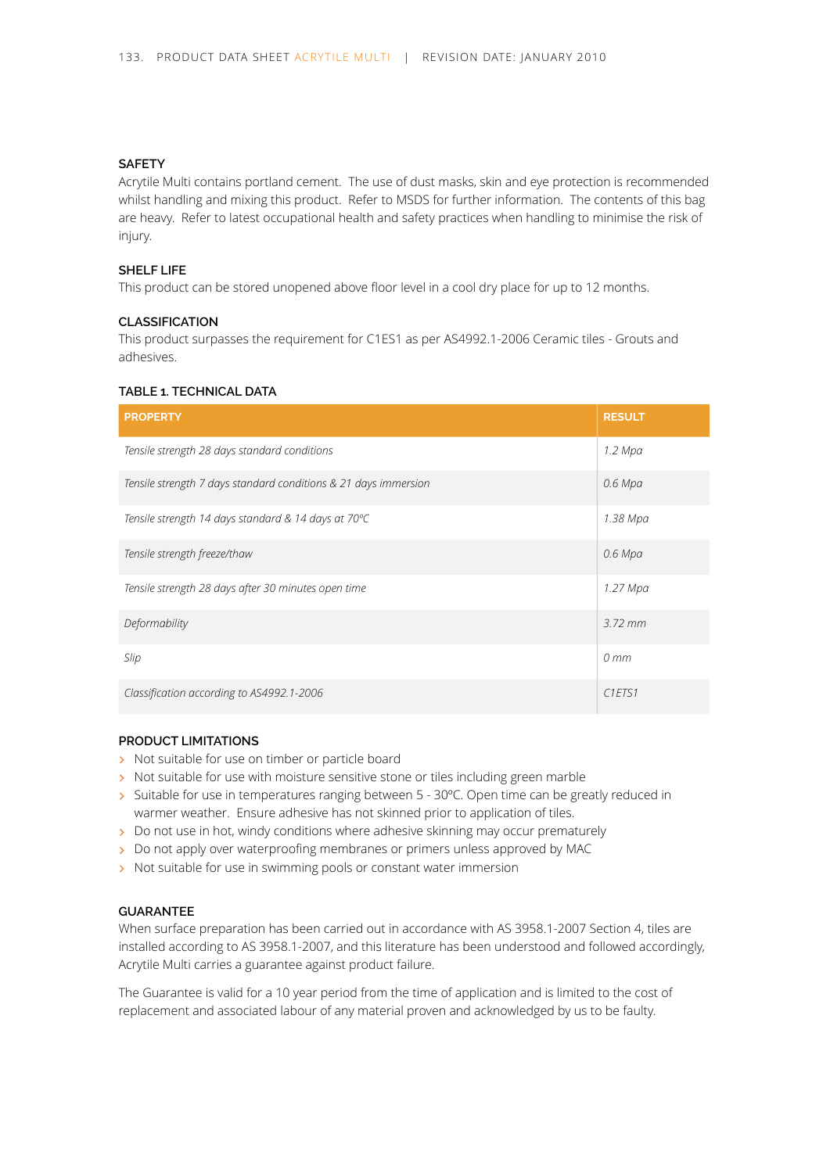## **SAFETY**

Acrytile Multi contains portland cement. The use of dust masks, skin and eye protection is recommended whilst handling and mixing this product. Refer to MSDS for further information. The contents of this bag are heavy. Refer to latest occupational health and safety practices when handling to minimise the risk of injury.

## **SHELF LIFE**

This product can be stored unopened above floor level in a cool dry place for up to 12 months.

#### **CLASSIFICATION**

This product surpasses the requirement for C1ES1 as per AS4992.1-2006 Ceramic tiles - Grouts and adhesives.

## **TABLE 1. TECHNICAL DATA**

| <b>PROPERTY</b>                                                 | <b>RESULT</b>                   |
|-----------------------------------------------------------------|---------------------------------|
| Tensile strength 28 days standard conditions                    | 1.2 Mpa                         |
| Tensile strength 7 days standard conditions & 21 days immersion | $0.6$ Mpa                       |
| Tensile strength 14 days standard & 14 days at 70°C             | 1.38 Mpa                        |
| Tensile strength freeze/thaw                                    | $0.6$ Mpa                       |
| Tensile strength 28 days after 30 minutes open time             | 1.27 Mpa                        |
| Deformability                                                   | $3.72$ mm                       |
| Slip                                                            | $0 \, mm$                       |
| Classification according to AS4992.1-2006                       | C <sub>1</sub> ETS <sub>1</sub> |

# **PRODUCT LIMITATIONS**

- > Not suitable for use on timber or particle board
- > Not suitable for use with moisture sensitive stone or tiles including green marble
- > Suitable for use in temperatures ranging between 5 30°C. Open time can be greatly reduced in warmer weather. Ensure adhesive has not skinned prior to application of tiles.
- Do not use in hot, windy conditions where adhesive skinning may occur prematurely
- Do not apply over waterproofing membranes or primers unless approved by MAC
- > Not suitable for use in swimming pools or constant water immersion

## **GUARANTEE**

When surface preparation has been carried out in accordance with AS 3958.1-2007 Section 4, tiles are installed according to AS 3958.1-2007, and this literature has been understood and followed accordingly, Acrytile Multi carries a guarantee against product failure.

The Guarantee is valid for a 10 year period from the time of application and is limited to the cost of replacement and associated labour of any material proven and acknowledged by us to be faulty.